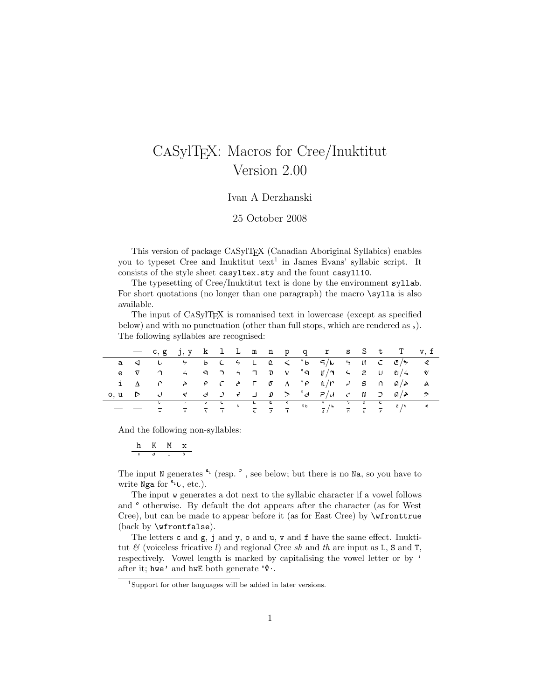## CaSylTEX: Macros for Cree/Inuktitut Version 2.00

## Ivan A Derzhanski

25 October 2008

This version of package CaSylTEX (Canadian Aboriginal Syllabics) enables you to typeset Cree and Inuktitut  $text{text}$ <sup>1</sup> in James Evans' syllabic script. It consists of the style sheet casyltex.sty and the fount casyll10.

The typesetting of Cree/Inuktitut text is done by the environment syllab. For short quotations (no longer than one paragraph) the macro \sylla is also available.

The input of CASylT<sub>EX</sub> is romanised text in lowercase (except as specified below) and with no punctuation (other than full stops, which are rendered as  $\lambda$ ). The following syllables are recognised:

|               |  |  |  |  |  |  |  | $\sim$ c, g j, y k l L m n p q r s S t T v, f                                                                                                                                                                                                                                                                                                             |  |
|---------------|--|--|--|--|--|--|--|-----------------------------------------------------------------------------------------------------------------------------------------------------------------------------------------------------------------------------------------------------------------------------------------------------------------------------------------------------------|--|
|               |  |  |  |  |  |  |  | $a \mid d$ $b$ $b$ $c$ $c$ $c$ $c$ $d$ $s$ $f$ $g$ $f$ $g$ $g$ $g$ $g$ $g$                                                                                                                                                                                                                                                                                |  |
|               |  |  |  |  |  |  |  |                                                                                                                                                                                                                                                                                                                                                           |  |
|               |  |  |  |  |  |  |  | $i   \Delta$ $\cap$ $\rightarrow$ $\cap$ $\cap$ $\rightarrow$ $\cap$ $\cap$ $\wedge$ $\wedge$ $\wedge$ $\wedge$ $\wedge$ $\wedge$ $\wedge$ $\wedge$ $\wedge$ $\wedge$ $\wedge$ $\wedge$ $\wedge$ $\wedge$ $\wedge$ $\wedge$ $\wedge$ $\wedge$ $\wedge$ $\wedge$ $\wedge$ $\wedge$ $\wedge$ $\wedge$ $\wedge$ $\wedge$ $\wedge$ $\wedge$ $\wedge$ $\wedge$ |  |
| $0, u \mid b$ |  |  |  |  |  |  |  |                                                                                                                                                                                                                                                                                                                                                           |  |
|               |  |  |  |  |  |  |  |                                                                                                                                                                                                                                                                                                                                                           |  |

And the following non-syllables:

$$
\begin{array}{c|cc} h & K & M & x \\ \hline & & \stackrel{\dagger}{\circ} & \stackrel{\dagger}{\circ} & \stackrel{\dagger}{\circ} \\ \end{array}
$$

The input N generates  $\ell$  (resp.  $\ell$ , see below; but there is no Na, so you have to write Nga for  $\mathfrak{c}_v$ , etc.).

The input w generates a dot next to the syllabic character if a vowel follows and  $\degree$  otherwise. By default the dot appears after the character (as for West Cree), but can be made to appear before it (as for East Cree) by \wfronttrue (back by \wfrontfalse).

The letters  ${\tt c}$  and  ${\tt g},$   ${\tt j}$  and  ${\tt y},$   ${\tt o}$  and  ${\tt u},$   ${\tt v}$  and  ${\tt f}$  have the same effect. Inuktitut  $\mathcal{B}$  (voiceless fricative l) and regional Cree sh and th are input as L, S and T, respectively. Vowel length is marked by capitalising the vowel letter or by ' after it; hwe' and hwE both generate  $\forall \cdot$ .

<sup>1</sup>Support for other languages will be added in later versions.